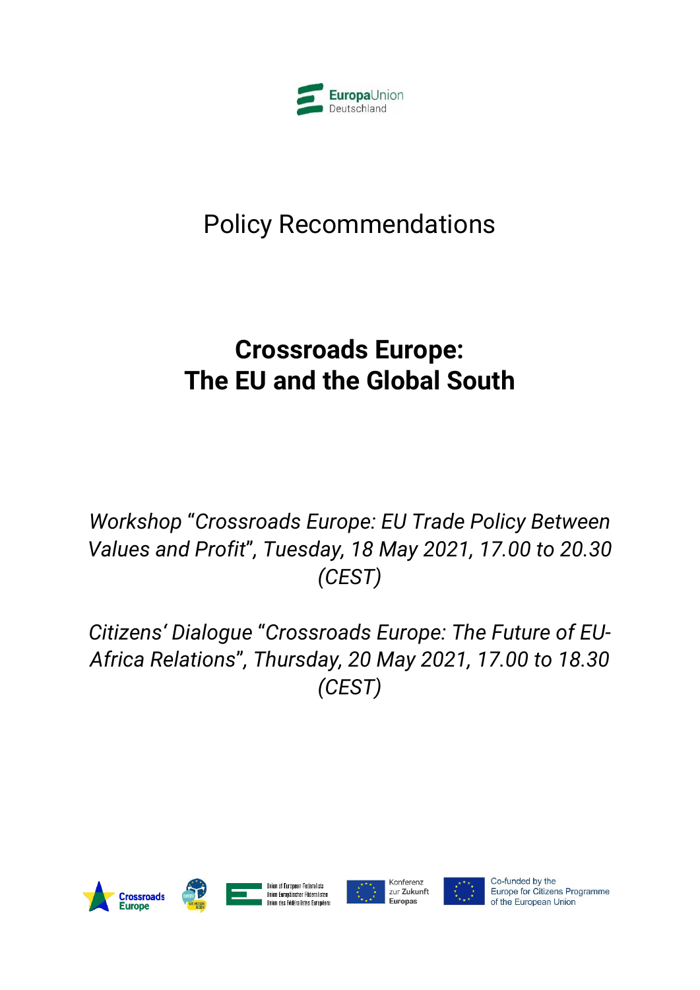

# Policy Recommendations

# **Crossroads Europe: The EU and the Global South**

*Workshop* "*Crossroads Europe: EU Trade Policy Between Values and Profit*"*, Tuesday, 18 May 2021, 17.00 to 20.30 (CEST)*

*Citizens' Dialogue* "*Crossroads Europe: The Future of EU-Africa Relations*"*, Thursday, 20 May 2021, 17.00 to 18.30 (CEST)*





**Union of European Federalists** Union Europäischer Föderalisten Ilnion des Fédéralistes Furnnéens





Co-funded by the Europe for Citizens Programme of the European Union